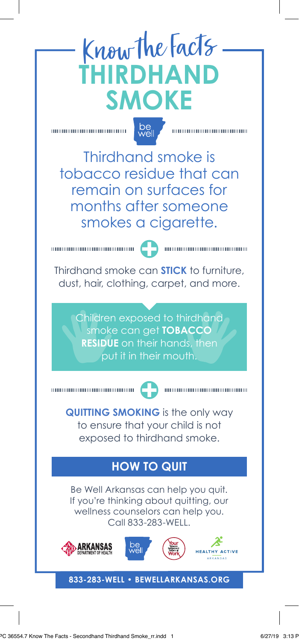# Know the Facts **THIRDHAND SMOKE**

00000000000000000000000

 $be$ <sub>well</sub>

Thirdhand smoke is tobacco residue that can remain on surfaces for months after someone smokes a cigarette.

 $\frac{1}{2}$  . The component component contract of  $\sim$  2  $\sim$  . The component component component contract of  $\sim$ 

Thirdhand smoke can **STICK** to furniture, dust, hair, clothing, carpet, and more.

> Children exposed to thirdhand smoke can get **TOBACCO RESIDUE** on their hands, then put it in their mouth.

1000000000000000000000000000000

00000000000000000000000

**QUITTING SMOKING** is the only way to ensure that your child is not exposed to thirdhand smoke.

### **HOW TO QUIT**

Be Well Arkansas can help you quit. If you're thinking about quitting, our wellness counselors can help you. Call 833-283-WELL.







**ALTHY ACTIVE** 

#### **833-283-WELL • BEWELLARKANSAS.ORG**